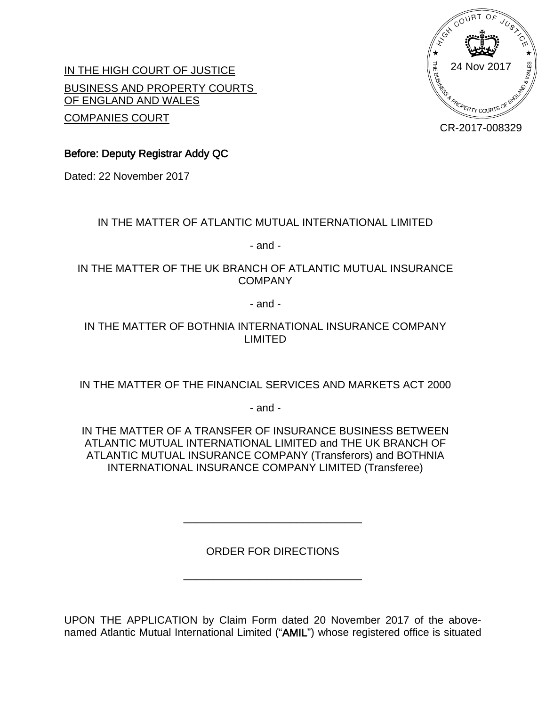

IN THE HIGH COURT OF JUSTICE BUSINESS AND PROPERTY COURTS OF ENGLAND AND WALES COMPANIES COURT

CR-2017-008329

**Before: Deputy Registrar Addy QC**

Dated: 22 November 2017

## IN THE MATTER OF ATLANTIC MUTUAL INTERNATIONAL LIMITED

- and -

## IN THE MATTER OF THE UK BRANCH OF ATLANTIC MUTUAL INSURANCE COMPANY

- and -

## IN THE MATTER OF BOTHNIA INTERNATIONAL INSURANCE COMPANY LIMITED

IN THE MATTER OF THE FINANCIAL SERVICES AND MARKETS ACT 2000

- and -

IN THE MATTER OF A TRANSFER OF INSURANCE BUSINESS BETWEEN ATLANTIC MUTUAL INTERNATIONAL LIMITED and THE UK BRANCH OF ATLANTIC MUTUAL INSURANCE COMPANY (Transferors) and BOTHNIA INTERNATIONAL INSURANCE COMPANY LIMITED (Transferee)

ORDER FOR DIRECTIONS

 $\mathcal{L}_\mathcal{L}$  , which is a set of the set of the set of the set of the set of the set of the set of the set of the set of the set of the set of the set of the set of the set of the set of the set of the set of the set of

 $\mathcal{L}_\text{max}$  , where  $\mathcal{L}_\text{max}$  and  $\mathcal{L}_\text{max}$  and  $\mathcal{L}_\text{max}$ 

UPON THE APPLICATION by Claim Form dated 20 November 2017 of the abovenamed Atlantic Mutual International Limited ("**AMIL**") whose registered office is situated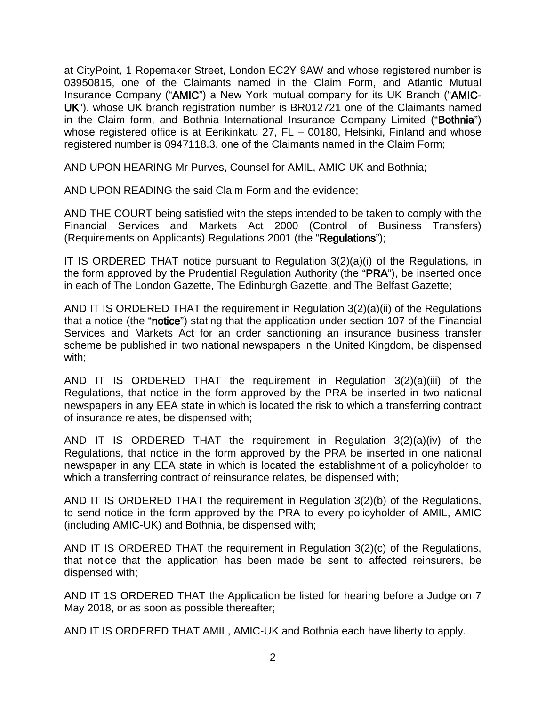at CityPoint, 1 Ropemaker Street, London EC2Y 9AW and whose registered number is 03950815, one of the Claimants named in the Claim Form, and Atlantic Mutual Insurance Company ("**AMIC**") a New York mutual company for its UK Branch ("**AMIC-UK**"), whose UK branch registration number is BR012721 one of the Claimants named in the Claim form, and Bothnia International Insurance Company Limited ("**Bothnia**") whose registered office is at Eerikinkatu 27, FL - 00180, Helsinki, Finland and whose registered number is 0947118.3, one of the Claimants named in the Claim Form;

AND UPON HEARING Mr Purves, Counsel for AMIL, AMIC-UK and Bothnia;

AND UPON READING the said Claim Form and the evidence;

AND THE COURT being satisfied with the steps intended to be taken to comply with the Financial Services and Markets Act 2000 (Control of Business Transfers) (Requirements on Applicants) Regulations 2001 (the "**Regulations**");

IT IS ORDERED THAT notice pursuant to Regulation 3(2)(a)(i) of the Regulations, in the form approved by the Prudential Regulation Authority (the "**PRA**"), be inserted once in each of The London Gazette, The Edinburgh Gazette, and The Belfast Gazette;

AND IT IS ORDERED THAT the requirement in Regulation 3(2)(a)(ii) of the Regulations that a notice (the "**notice**") stating that the application under section 107 of the Financial Services and Markets Act for an order sanctioning an insurance business transfer scheme be published in two national newspapers in the United Kingdom, be dispensed with;

AND IT IS ORDERED THAT the requirement in Regulation 3(2)(a)(iii) of the Regulations, that notice in the form approved by the PRA be inserted in two national newspapers in any EEA state in which is located the risk to which a transferring contract of insurance relates, be dispensed with;

AND IT IS ORDERED THAT the requirement in Regulation 3(2)(a)(iv) of the Regulations, that notice in the form approved by the PRA be inserted in one national newspaper in any EEA state in which is located the establishment of a policyholder to which a transferring contract of reinsurance relates, be dispensed with;

AND IT IS ORDERED THAT the requirement in Regulation 3(2)(b) of the Regulations, to send notice in the form approved by the PRA to every policyholder of AMIL, AMIC (including AMIC-UK) and Bothnia, be dispensed with;

AND IT IS ORDERED THAT the requirement in Regulation 3(2)(c) of the Regulations, that notice that the application has been made be sent to affected reinsurers, be dispensed with;

AND IT 1S ORDERED THAT the Application be listed for hearing before a Judge on 7 May 2018, or as soon as possible thereafter;

AND IT IS ORDERED THAT AMIL, AMIC-UK and Bothnia each have liberty to apply.